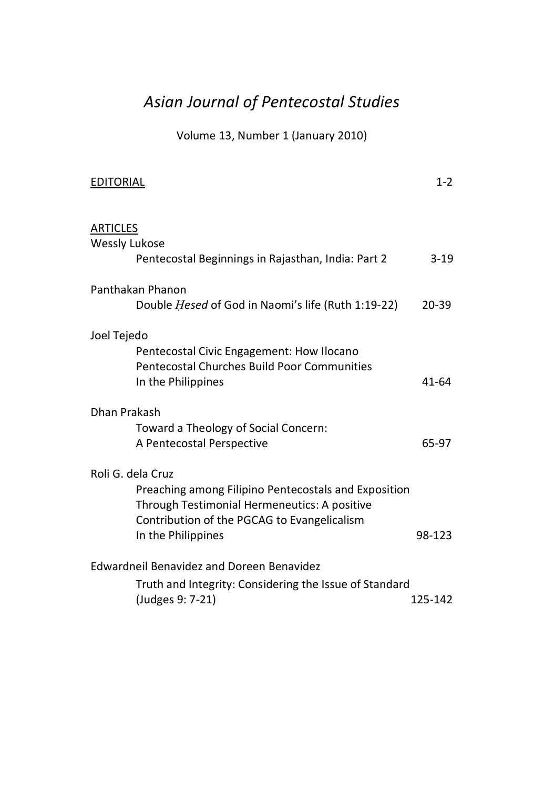## *Asian Journal of Pentecostal Studies*

Volume 13, Number 1 (January 2010)

| <b>EDITORIAL</b>                                                                                                                                                                               | $1 - 2$   |
|------------------------------------------------------------------------------------------------------------------------------------------------------------------------------------------------|-----------|
| <b>ARTICLES</b><br><b>Wessly Lukose</b><br>Pentecostal Beginnings in Rajasthan, India: Part 2                                                                                                  | $3-19$    |
| Panthakan Phanon<br>Double <i>Hesed</i> of God in Naomi's life (Ruth 1:19-22)                                                                                                                  | $20 - 39$ |
| Joel Tejedo<br>Pentecostal Civic Engagement: How Ilocano<br>Pentecostal Churches Build Poor Communities<br>In the Philippines                                                                  | 41-64     |
| Dhan Prakash                                                                                                                                                                                   |           |
| Toward a Theology of Social Concern:<br>A Pentecostal Perspective                                                                                                                              | 65-97     |
| Roli G. dela Cruz<br>Preaching among Filipino Pentecostals and Exposition<br>Through Testimonial Hermeneutics: A positive<br>Contribution of the PGCAG to Evangelicalism<br>In the Philippines | 98-123    |
| Edwardneil Benavidez and Doreen Benavidez                                                                                                                                                      |           |
| Truth and Integrity: Considering the Issue of Standard<br>(Judges 9: 7-21)                                                                                                                     | 125-142   |